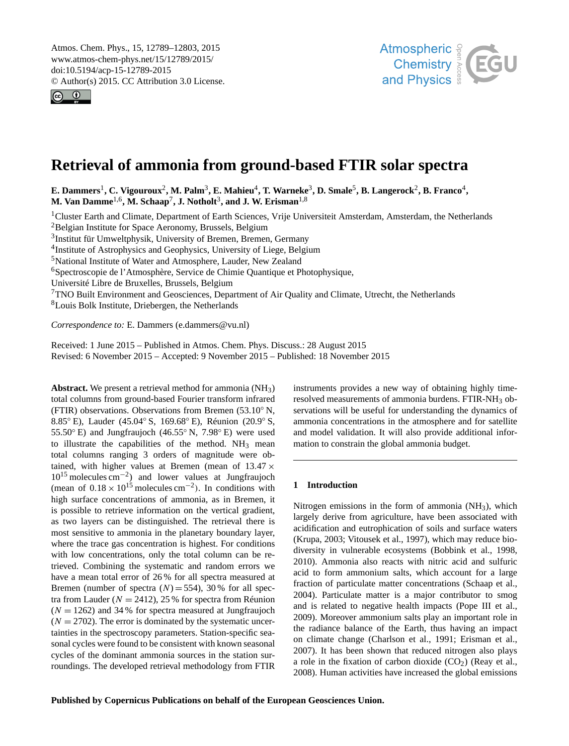<span id="page-0-1"></span>Atmos. Chem. Phys., 15, 12789–12803, 2015 www.atmos-chem-phys.net/15/12789/2015/ doi:10.5194/acp-15-12789-2015 © Author(s) 2015. CC Attribution 3.0 License.





# **Retrieval of ammonia from ground-based FTIR solar spectra**

 $\bf{E.~Dammers}^1, \bf{C.~Vigouroux}^2, \bf{M.~Palm}^3, \bf{E.~Mahieu}^4, \bf{T.~Warneke}^3, \bf{D.~Smale}^5, \bf{B.~Langerock}^2, \bf{B.~Franco}^4, \bf{B.~Vranco}^3, \bf{B.~Vranco}^4, \bf{B.~Vranco}^3, \bf{B.~Vranco}^3, \bf{B.~Vranco}^4, \bf{B.~Vranco}^3, \bf{B.~Vranco}^3, \bf{B.~Vranco}^3, \bf{B.~Vranco}^3, \bf$  $\bf{E.~Dammers}^1, \bf{C.~Vigouroux}^2, \bf{M.~Palm}^3, \bf{E.~Mahieu}^4, \bf{T.~Warneke}^3, \bf{D.~Smale}^5, \bf{B.~Langerock}^2, \bf{B.~Franco}^4, \bf{B.~Vranco}^3, \bf{B.~Vranco}^4, \bf{B.~Vranco}^3, \bf{B.~Vranco}^3, \bf{B.~Vranco}^4, \bf{B.~Vranco}^3, \bf{B.~Vranco}^3, \bf{B.~Vranco}^3, \bf{B.~Vranco}^3, \bf$  $\bf{E.~Dammers}^1, \bf{C.~Vigouroux}^2, \bf{M.~Palm}^3, \bf{E.~Mahieu}^4, \bf{T.~Warneke}^3, \bf{D.~Smale}^5, \bf{B.~Langerock}^2, \bf{B.~Franco}^4, \bf{B.~Vranco}^3, \bf{B.~Vranco}^4, \bf{B.~Vranco}^3, \bf{B.~Vranco}^3, \bf{B.~Vranco}^4, \bf{B.~Vranco}^3, \bf{B.~Vranco}^3, \bf{B.~Vranco}^3, \bf{B.~Vranco}^3, \bf$  $\bf{E.~Dammers}^1, \bf{C.~Vigouroux}^2, \bf{M.~Palm}^3, \bf{E.~Mahieu}^4, \bf{T.~Warneke}^3, \bf{D.~Smale}^5, \bf{B.~Langerock}^2, \bf{B.~Franco}^4, \bf{B.~Vranco}^3, \bf{B.~Vranco}^4, \bf{B.~Vranco}^3, \bf{B.~Vranco}^3, \bf{B.~Vranco}^4, \bf{B.~Vranco}^3, \bf{B.~Vranco}^3, \bf{B.~Vranco}^3, \bf{B.~Vranco}^3, \bf$  $\bf{E.~Dammers}^1, \bf{C.~Vigouroux}^2, \bf{M.~Palm}^3, \bf{E.~Mahieu}^4, \bf{T.~Warneke}^3, \bf{D.~Smale}^5, \bf{B.~Langerock}^2, \bf{B.~Franco}^4, \bf{B.~Vranco}^3, \bf{B.~Vranco}^4, \bf{B.~Vranco}^3, \bf{B.~Vranco}^3, \bf{B.~Vranco}^4, \bf{B.~Vranco}^3, \bf{B.~Vranco}^3, \bf{B.~Vranco}^3, \bf{B.~Vranco}^3, \bf$  $\bf{E.~Dammers}^1, \bf{C.~Vigouroux}^2, \bf{M.~Palm}^3, \bf{E.~Mahieu}^4, \bf{T.~Warneke}^3, \bf{D.~Smale}^5, \bf{B.~Langerock}^2, \bf{B.~Franco}^4, \bf{B.~Vranco}^3, \bf{B.~Vranco}^4, \bf{B.~Vranco}^3, \bf{B.~Vranco}^3, \bf{B.~Vranco}^4, \bf{B.~Vranco}^3, \bf{B.~Vranco}^3, \bf{B.~Vranco}^3, \bf{B.~Vranco}^3, \bf$  $\bf{E.~Dammers}^1, \bf{C.~Vigouroux}^2, \bf{M.~Palm}^3, \bf{E.~Mahieu}^4, \bf{T.~Warneke}^3, \bf{D.~Smale}^5, \bf{B.~Langerock}^2, \bf{B.~Franco}^4, \bf{B.~Vranco}^3, \bf{B.~Vranco}^4, \bf{B.~Vranco}^3, \bf{B.~Vranco}^3, \bf{B.~Vranco}^4, \bf{B.~Vranco}^3, \bf{B.~Vranco}^3, \bf{B.~Vranco}^3, \bf{B.~Vranco}^3, \bf$  $\bf{E.~Dammers}^1, \bf{C.~Vigouroux}^2, \bf{M.~Palm}^3, \bf{E.~Mahieu}^4, \bf{T.~Warneke}^3, \bf{D.~Smale}^5, \bf{B.~Langerock}^2, \bf{B.~Franco}^4, \bf{B.~Vranco}^3, \bf{B.~Vranco}^4, \bf{B.~Vranco}^3, \bf{B.~Vranco}^3, \bf{B.~Vranco}^4, \bf{B.~Vranco}^3, \bf{B.~Vranco}^3, \bf{B.~Vranco}^3, \bf{B.~Vranco}^3, \bf$  $\bf{E.~Dammers}^1, \bf{C.~Vigouroux}^2, \bf{M.~Palm}^3, \bf{E.~Mahieu}^4, \bf{T.~Warneke}^3, \bf{D.~Smale}^5, \bf{B.~Langerock}^2, \bf{B.~Franco}^4, \bf{B.~Vranco}^3, \bf{B.~Vranco}^4, \bf{B.~Vranco}^3, \bf{B.~Vranco}^3, \bf{B.~Vranco}^4, \bf{B.~Vranco}^3, \bf{B.~Vranco}^3, \bf{B.~Vranco}^3, \bf{B.~Vranco}^3, \bf$  $\bf{E.~Dammers}^1, \bf{C.~Vigouroux}^2, \bf{M.~Palm}^3, \bf{E.~Mahieu}^4, \bf{T.~Warneke}^3, \bf{D.~Smale}^5, \bf{B.~Langerock}^2, \bf{B.~Franco}^4, \bf{B.~Vranco}^3, \bf{B.~Vranco}^4, \bf{B.~Vranco}^3, \bf{B.~Vranco}^3, \bf{B.~Vranco}^4, \bf{B.~Vranco}^3, \bf{B.~Vranco}^3, \bf{B.~Vranco}^3, \bf{B.~Vranco}^3, \bf$  $\bf{E.~Dammers}^1, \bf{C.~Vigouroux}^2, \bf{M.~Palm}^3, \bf{E.~Mahieu}^4, \bf{T.~Warneke}^3, \bf{D.~Smale}^5, \bf{B.~Langerock}^2, \bf{B.~Franco}^4, \bf{B.~Vranco}^3, \bf{B.~Vranco}^4, \bf{B.~Vranco}^3, \bf{B.~Vranco}^3, \bf{B.~Vranco}^4, \bf{B.~Vranco}^3, \bf{B.~Vranco}^3, \bf{B.~Vranco}^3, \bf{B.~Vranco}^3, \bf$ **M. Van Damme**[1,6](#page-0-0) **, M. Schaap**[7](#page-0-0) **, J. Notholt**[3](#page-0-0) **, and J. W. Erisman**[1,8](#page-0-0)

<sup>1</sup>Cluster Earth and Climate, Department of Earth Sciences, Vrije Universiteit Amsterdam, Amsterdam, the Netherlands <sup>2</sup>Belgian Institute for Space Aeronomy, Brussels, Belgium

3 Institut für Umweltphysik, University of Bremen, Bremen, Germany

<sup>4</sup>Institute of Astrophysics and Geophysics, University of Liege, Belgium

<sup>5</sup>National Institute of Water and Atmosphere, Lauder, New Zealand

<sup>6</sup>Spectroscopie de l'Atmosphère, Service de Chimie Quantique et Photophysique,

Université Libre de Bruxelles, Brussels, Belgium

<sup>7</sup>TNO Built Environment and Geosciences, Department of Air Quality and Climate, Utrecht, the Netherlands

<sup>8</sup>Louis Bolk Institute, Driebergen, the Netherlands

*Correspondence to:* E. Dammers (e.dammers@vu.nl)

Received: 1 June 2015 – Published in Atmos. Chem. Phys. Discuss.: 28 August 2015 Revised: 6 November 2015 – Accepted: 9 November 2015 – Published: 18 November 2015

<span id="page-0-0"></span>**Abstract.** We present a retrieval method for ammonia (NH3) total columns from ground-based Fourier transform infrared (FTIR) observations. Observations from Bremen (53.10◦ N, 8.85° E), Lauder (45.04° S, 169.68° E), Réunion (20.9° S, 55.50◦ E) and Jungfraujoch (46.55◦ N, 7.98◦ E) were used to illustrate the capabilities of the method.  $NH_3$  mean total columns ranging 3 orders of magnitude were obtained, with higher values at Bremen (mean of  $13.47 \times$ 10<sup>15</sup> molecules cm−<sup>2</sup> ) and lower values at Jungfraujoch (mean of  $0.18 \times 10^{15}$  molecules cm<sup>-2</sup>). In conditions with high surface concentrations of ammonia, as in Bremen, it is possible to retrieve information on the vertical gradient, as two layers can be distinguished. The retrieval there is most sensitive to ammonia in the planetary boundary layer, where the trace gas concentration is highest. For conditions with low concentrations, only the total column can be retrieved. Combining the systematic and random errors we have a mean total error of 26 % for all spectra measured at Bremen (number of spectra  $(N) = 554$ ), 30% for all spectra from Lauder ( $N = 2412$ ), 25 % for spectra from Réunion  $(N = 1262)$  and 34% for spectra measured at Jungfraujoch  $(N = 2702)$ . The error is dominated by the systematic uncertainties in the spectroscopy parameters. Station-specific seasonal cycles were found to be consistent with known seasonal cycles of the dominant ammonia sources in the station surroundings. The developed retrieval methodology from FTIR

instruments provides a new way of obtaining highly timeresolved measurements of ammonia burdens. FTIR-NH<sub>3</sub> observations will be useful for understanding the dynamics of ammonia concentrations in the atmosphere and for satellite and model validation. It will also provide additional information to constrain the global ammonia budget.

## **1 Introduction**

Nitrogen emissions in the form of ammonia (NH3), which largely derive from agriculture, have been associated with acidification and eutrophication of soils and surface waters (Krupa, 2003; Vitousek et al., 1997), which may reduce biodiversity in vulnerable ecosystems (Bobbink et al., 1998, 2010). Ammonia also reacts with nitric acid and sulfuric acid to form ammonium salts, which account for a large fraction of particulate matter concentrations (Schaap et al., 2004). Particulate matter is a major contributor to smog and is related to negative health impacts (Pope III et al., 2009). Moreover ammonium salts play an important role in the radiance balance of the Earth, thus having an impact on climate change (Charlson et al., 1991; Erisman et al., 2007). It has been shown that reduced nitrogen also plays a role in the fixation of carbon dioxide  $(CO<sub>2</sub>)$  (Reay et al., 2008). Human activities have increased the global emissions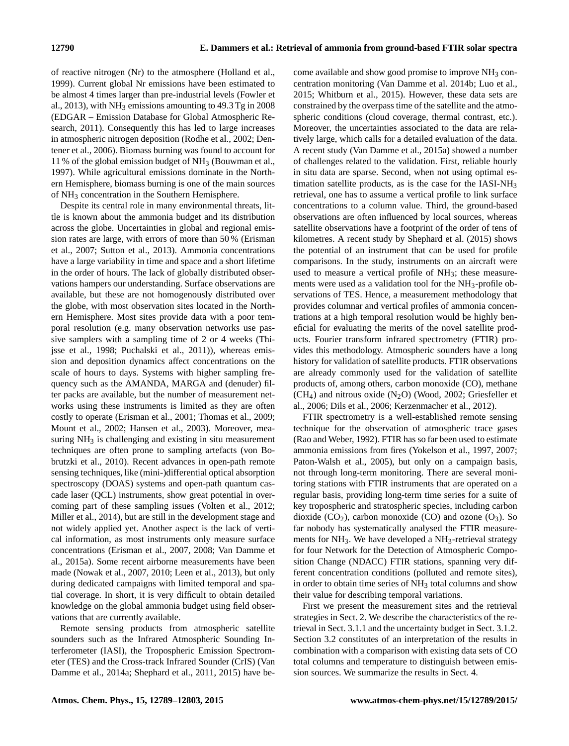of reactive nitrogen (Nr) to the atmosphere (Holland et al., 1999). Current global Nr emissions have been estimated to be almost 4 times larger than pre-industrial levels (Fowler et al., 2013), with  $NH_3$  emissions amounting to 49.3 Tg in 2008 (EDGAR – Emission Database for Global Atmospheric Research, 2011). Consequently this has led to large increases in atmospheric nitrogen deposition (Rodhe et al., 2002; Dentener et al., 2006). Biomass burning was found to account for 11 % of the global emission budget of  $NH<sub>3</sub>$  (Bouwman et al., 1997). While agricultural emissions dominate in the Northern Hemisphere, biomass burning is one of the main sources of NH<sup>3</sup> concentration in the Southern Hemisphere.

Despite its central role in many environmental threats, little is known about the ammonia budget and its distribution across the globe. Uncertainties in global and regional emission rates are large, with errors of more than 50 % (Erisman et al., 2007; Sutton et al., 2013). Ammonia concentrations have a large variability in time and space and a short lifetime in the order of hours. The lack of globally distributed observations hampers our understanding. Surface observations are available, but these are not homogenously distributed over the globe, with most observation sites located in the Northern Hemisphere. Most sites provide data with a poor temporal resolution (e.g. many observation networks use passive samplers with a sampling time of 2 or 4 weeks (Thijsse et al., 1998; Puchalski et al., 2011)), whereas emission and deposition dynamics affect concentrations on the scale of hours to days. Systems with higher sampling frequency such as the AMANDA, MARGA and (denuder) filter packs are available, but the number of measurement networks using these instruments is limited as they are often costly to operate (Erisman et al., 2001; Thomas et al., 2009; Mount et al., 2002; Hansen et al., 2003). Moreover, measuring  $NH<sub>3</sub>$  is challenging and existing in situ measurement techniques are often prone to sampling artefacts (von Bobrutzki et al., 2010). Recent advances in open-path remote sensing techniques, like (mini-)differential optical absorption spectroscopy (DOAS) systems and open-path quantum cascade laser (QCL) instruments, show great potential in overcoming part of these sampling issues (Volten et al., 2012; Miller et al., 2014), but are still in the development stage and not widely applied yet. Another aspect is the lack of vertical information, as most instruments only measure surface concentrations (Erisman et al., 2007, 2008; Van Damme et al., 2015a). Some recent airborne measurements have been made (Nowak et al., 2007, 2010; Leen et al., 2013), but only during dedicated campaigns with limited temporal and spatial coverage. In short, it is very difficult to obtain detailed knowledge on the global ammonia budget using field observations that are currently available.

Remote sensing products from atmospheric satellite sounders such as the Infrared Atmospheric Sounding Interferometer (IASI), the Tropospheric Emission Spectrometer (TES) and the Cross-track Infrared Sounder (CrIS) (Van Damme et al., 2014a; Shephard et al., 2011, 2015) have become available and show good promise to improve  $NH<sub>3</sub>$  concentration monitoring (Van Damme et al. 2014b; Luo et al., 2015; Whitburn et al., 2015). However, these data sets are constrained by the overpass time of the satellite and the atmospheric conditions (cloud coverage, thermal contrast, etc.). Moreover, the uncertainties associated to the data are relatively large, which calls for a detailed evaluation of the data. A recent study (Van Damme et al., 2015a) showed a number of challenges related to the validation. First, reliable hourly in situ data are sparse. Second, when not using optimal estimation satellite products, as is the case for the IASI-NH<sup>3</sup> retrieval, one has to assume a vertical profile to link surface concentrations to a column value. Third, the ground-based observations are often influenced by local sources, whereas satellite observations have a footprint of the order of tens of kilometres. A recent study by Shephard et al. (2015) shows the potential of an instrument that can be used for profile comparisons. In the study, instruments on an aircraft were used to measure a vertical profile of NH<sub>3</sub>; these measurements were used as a validation tool for the NH3-profile observations of TES. Hence, a measurement methodology that provides columnar and vertical profiles of ammonia concentrations at a high temporal resolution would be highly beneficial for evaluating the merits of the novel satellite products. Fourier transform infrared spectrometry (FTIR) provides this methodology. Atmospheric sounders have a long history for validation of satellite products. FTIR observations are already commonly used for the validation of satellite products of, among others, carbon monoxide (CO), methane  $(CH<sub>4</sub>)$  and nitrous oxide  $(N<sub>2</sub>O)$  (Wood, 2002; Griesfeller et al., 2006; Dils et al., 2006; Kerzenmacher et al., 2012).

FTIR spectrometry is a well-established remote sensing technique for the observation of atmospheric trace gases (Rao and Weber, 1992). FTIR has so far been used to estimate ammonia emissions from fires (Yokelson et al., 1997, 2007; Paton-Walsh et al., 2005), but only on a campaign basis, not through long-term monitoring. There are several monitoring stations with FTIR instruments that are operated on a regular basis, providing long-term time series for a suite of key tropospheric and stratospheric species, including carbon dioxide  $(CO_2)$ , carbon monoxide  $(CO)$  and ozone  $(O_3)$ . So far nobody has systematically analysed the FTIR measurements for  $NH_3$ . We have developed a  $NH_3$ -retrieval strategy for four Network for the Detection of Atmospheric Composition Change (NDACC) FTIR stations, spanning very different concentration conditions (polluted and remote sites), in order to obtain time series of NH<sub>3</sub> total columns and show their value for describing temporal variations.

First we present the measurement sites and the retrieval strategies in Sect. 2. We describe the characteristics of the retrieval in Sect. 3.1.1 and the uncertainty budget in Sect. 3.1.2. Section 3.2 constitutes of an interpretation of the results in combination with a comparison with existing data sets of CO total columns and temperature to distinguish between emission sources. We summarize the results in Sect. 4.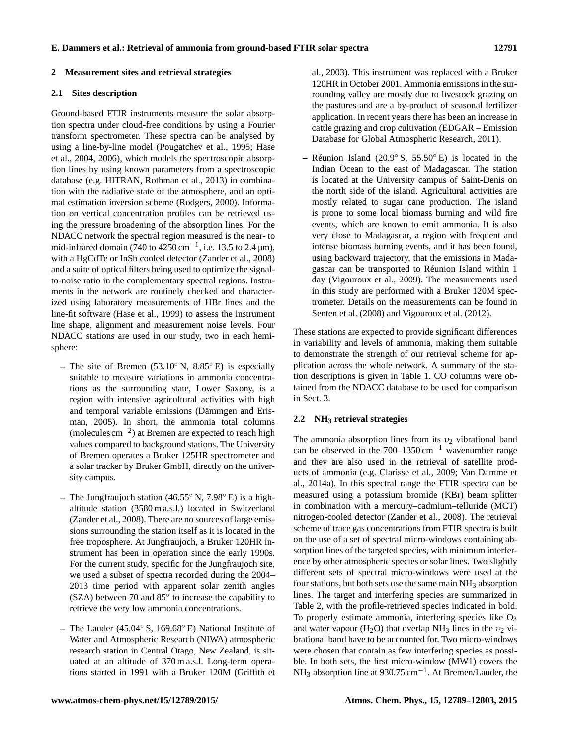## **2 Measurement sites and retrieval strategies**

#### **2.1 Sites description**

Ground-based FTIR instruments measure the solar absorption spectra under cloud-free conditions by using a Fourier transform spectrometer. These spectra can be analysed by using a line-by-line model (Pougatchev et al., 1995; Hase et al., 2004, 2006), which models the spectroscopic absorption lines by using known parameters from a spectroscopic database (e.g. HITRAN, Rothman et al., 2013) in combination with the radiative state of the atmosphere, and an optimal estimation inversion scheme (Rodgers, 2000). Information on vertical concentration profiles can be retrieved using the pressure broadening of the absorption lines. For the NDACC network the spectral region measured is the near- to mid-infrared domain (740 to  $4250 \text{ cm}^{-1}$ , i.e. 13.5 to 2.4 µm), with a HgCdTe or InSb cooled detector (Zander et al., 2008) and a suite of optical filters being used to optimize the signalto-noise ratio in the complementary spectral regions. Instruments in the network are routinely checked and characterized using laboratory measurements of HBr lines and the line-fit software (Hase et al., 1999) to assess the instrument line shape, alignment and measurement noise levels. Four NDACC stations are used in our study, two in each hemisphere:

- **–** The site of Bremen (53.10◦ N, 8.85◦ E) is especially suitable to measure variations in ammonia concentrations as the surrounding state, Lower Saxony, is a region with intensive agricultural activities with high and temporal variable emissions (Dämmgen and Erisman, 2005). In short, the ammonia total columns (molecules cm−<sup>2</sup> ) at Bremen are expected to reach high values compared to background stations. The University of Bremen operates a Bruker 125HR spectrometer and a solar tracker by Bruker GmbH, directly on the university campus.
- **–** The Jungfraujoch station (46.55◦ N, 7.98◦ E) is a highaltitude station (3580 m a.s.l.) located in Switzerland (Zander et al., 2008). There are no sources of large emissions surrounding the station itself as it is located in the free troposphere. At Jungfraujoch, a Bruker 120HR instrument has been in operation since the early 1990s. For the current study, specific for the Jungfraujoch site, we used a subset of spectra recorded during the 2004– 2013 time period with apparent solar zenith angles (SZA) between 70 and 85◦ to increase the capability to retrieve the very low ammonia concentrations.
- **–** The Lauder (45.04◦ S, 169.68◦ E) National Institute of Water and Atmospheric Research (NIWA) atmospheric research station in Central Otago, New Zealand, is situated at an altitude of 370 m a.s.l. Long-term operations started in 1991 with a Bruker 120M (Griffith et

al., 2003). This instrument was replaced with a Bruker 120HR in October 2001. Ammonia emissions in the surrounding valley are mostly due to livestock grazing on the pastures and are a by-product of seasonal fertilizer application. In recent years there has been an increase in cattle grazing and crop cultivation (EDGAR – Emission Database for Global Atmospheric Research, 2011).

**–** Réunion Island (20.9◦ S, 55.50◦ E) is located in the Indian Ocean to the east of Madagascar. The station is located at the University campus of Saint-Denis on the north side of the island. Agricultural activities are mostly related to sugar cane production. The island is prone to some local biomass burning and wild fire events, which are known to emit ammonia. It is also very close to Madagascar, a region with frequent and intense biomass burning events, and it has been found, using backward trajectory, that the emissions in Madagascar can be transported to Réunion Island within 1 day (Vigouroux et al., 2009). The measurements used in this study are performed with a Bruker 120M spectrometer. Details on the measurements can be found in Senten et al. (2008) and Vigouroux et al. (2012).

These stations are expected to provide significant differences in variability and levels of ammonia, making them suitable to demonstrate the strength of our retrieval scheme for application across the whole network. A summary of the station descriptions is given in Table 1. CO columns were obtained from the NDACC database to be used for comparison in Sect. 3.

## **2.2 NH<sup>3</sup> retrieval strategies**

The ammonia absorption lines from its  $v_2$  vibrational band can be observed in the  $700-1350$  cm<sup>-1</sup> wavenumber range and they are also used in the retrieval of satellite products of ammonia (e.g. Clarisse et al., 2009; Van Damme et al., 2014a). In this spectral range the FTIR spectra can be measured using a potassium bromide (KBr) beam splitter in combination with a mercury–cadmium–telluride (MCT) nitrogen-cooled detector (Zander et al., 2008). The retrieval scheme of trace gas concentrations from FTIR spectra is built on the use of a set of spectral micro-windows containing absorption lines of the targeted species, with minimum interference by other atmospheric species or solar lines. Two slightly different sets of spectral micro-windows were used at the four stations, but both sets use the same main  $NH<sub>3</sub>$  absorption lines. The target and interfering species are summarized in Table 2, with the profile-retrieved species indicated in bold. To properly estimate ammonia, interfering species like  $O_3$ and water vapour (H<sub>2</sub>O) that overlap NH<sub>3</sub> lines in the  $v_2$  vibrational band have to be accounted for. Two micro-windows were chosen that contain as few interfering species as possible. In both sets, the first micro-window (MW1) covers the NH<sub>3</sub> absorption line at 930.75 cm<sup>-1</sup>. At Bremen/Lauder, the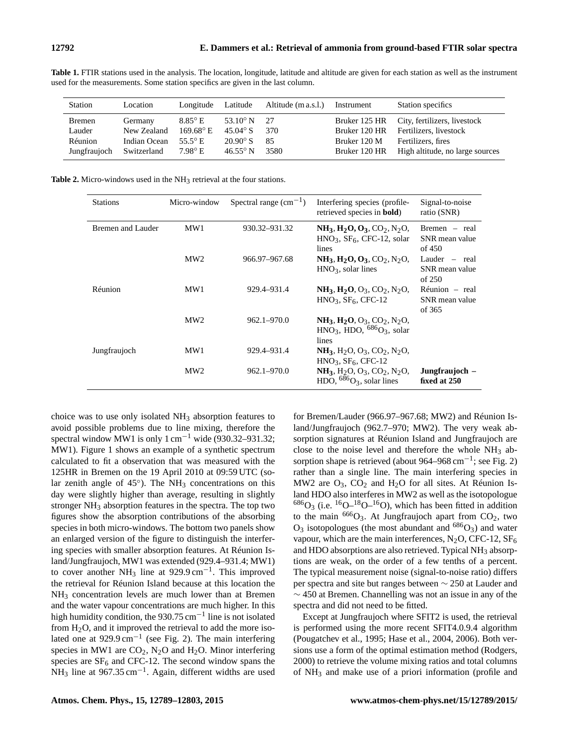| used for the measurements. Some station specifics are given in the last column. |          |                    |  |                                |  |                          |  |  |  |
|---------------------------------------------------------------------------------|----------|--------------------|--|--------------------------------|--|--------------------------|--|--|--|
|                                                                                 |          |                    |  |                                |  |                          |  |  |  |
| Station                                                                         | Location | Longitude Latitude |  | Altitude (m a.s.l.) Instrument |  | <b>Station specifics</b> |  |  |  |

**Table 1.** FTIR stations used in the analysis. The location, longitude, latitude and altitude are given for each station as well as the instrument

| Station       | Location     | Longitude Latitude        |                    | Altitude (m a.s.l.) | Instrument    | Station specifics               |
|---------------|--------------|---------------------------|--------------------|---------------------|---------------|---------------------------------|
| <b>Bremen</b> | Germany      | $8.85^{\circ}$ E          | 53.10 $\degree$ N  | -27                 | Bruker 125 HR | City, fertilizers, livestock    |
| Lauder        | New Zealand  | $169.68^{\circ}$ E        | 45.04 $^{\circ}$ S | 370                 | Bruker 120 HR | Fertilizers, livestock          |
| Réunion       | Indian Ocean | 55.5 $\mathrm{^{\circ}E}$ | $20.90^{\circ}$ S  | -85                 | Bruker 120 M  | Fertilizers, fires              |
| Jungfraujoch  | Switzerland  | $7.98^{\circ}$ E          | $46.55^{\circ}$ N  | 3580                | Bruker 120 HR | High altitude, no large sources |

**Table 2.** Micro-windows used in the NH<sub>3</sub> retrieval at the four stations.

| <b>Stations</b>   | Micro-window    | Spectral range $\rm (cm^{-1})$ | Interfering species (profile-<br>retrieved species in <b>bold</b> )                                               | Signal-to-noise<br>ratio (SNR)              |
|-------------------|-----------------|--------------------------------|-------------------------------------------------------------------------------------------------------------------|---------------------------------------------|
| Bremen and Lauder | MW1             | 930.32–931.32                  | $NH_3, H_2O, O_3, CO_2, N_2O,$<br>$HNO3$ , $SF6$ , CFC-12, solar<br>lines                                         | Bremen – real<br>SNR mean value<br>of 450   |
|                   | MW2             | 966.97-967.68                  | $NH_3, H_2O, O_3, CO_2, N_2O,$<br>$HNO3$ , solar lines                                                            | Lauder $-$ real<br>SNR mean value<br>of 250 |
| Réunion           | MW1             | 929.4–931.4                    | $NH_3$ , $H_2O$ , $O_3$ , $CO_2$ , $N_2O$ ,<br>$HNO3$ , $SF6$ , CFC-12                                            | Réunion – real<br>SNR mean value<br>of 365  |
|                   | MW2             | $962.1 - 970.0$                | $NH_3$ , $H_2O$ , $O_3$ , $CO_2$ , $N_2O$ ,<br>$HNO3$ , HDO, $^{686}O3$ , solar<br>lines                          |                                             |
| Jungfraujoch      | MW1             | 929.4–931.4                    | $NH_3$ , H <sub>2</sub> O, O <sub>3</sub> , CO <sub>2</sub> , N <sub>2</sub> O,<br>$HNO3$ , $SF6$ , CFC-12        |                                             |
|                   | MW <sub>2</sub> | 962.1-970.0                    | $NH_3$ , H <sub>2</sub> O, O <sub>3</sub> , CO <sub>2</sub> , N <sub>2</sub> O,<br>HDO, $^{686}O_3$ , solar lines | Jungfraujoch –<br>fixed at 250              |

choice was to use only isolated  $NH<sub>3</sub>$  absorption features to avoid possible problems due to line mixing, therefore the spectral window MW1 is only 1 cm<sup>-1</sup> wide (930.32–931.32; MW1). Figure 1 shows an example of a synthetic spectrum calculated to fit a observation that was measured with the 125HR in Bremen on the 19 April 2010 at 09:59 UTC (solar zenith angle of  $45^\circ$ ). The NH<sub>3</sub> concentrations on this day were slightly higher than average, resulting in slightly stronger NH<sub>3</sub> absorption features in the spectra. The top two figures show the absorption contributions of the absorbing species in both micro-windows. The bottom two panels show an enlarged version of the figure to distinguish the interfering species with smaller absorption features. At Réunion Island/Jungfraujoch, MW1 was extended (929.4–931.4; MW1) to cover another NH<sub>3</sub> line at 929.9 cm<sup>-1</sup>. This improved the retrieval for Réunion Island because at this location the NH<sup>3</sup> concentration levels are much lower than at Bremen and the water vapour concentrations are much higher. In this high humidity condition, the 930.75 cm−<sup>1</sup> line is not isolated from  $H_2O$ , and it improved the retrieval to add the more isolated one at 929.9 cm−<sup>1</sup> (see Fig. 2). The main interfering species in MW1 are  $CO<sub>2</sub>$ , N<sub>2</sub>O and H<sub>2</sub>O. Minor interfering species are  $SF_6$  and CFC-12. The second window spans the  $NH<sub>3</sub>$  line at 967.35 cm<sup>-1</sup>. Again, different widths are used

for Bremen/Lauder (966.97–967.68; MW2) and Réunion Island/Jungfraujoch (962.7–970; MW2). The very weak absorption signatures at Réunion Island and Jungfraujoch are close to the noise level and therefore the whole  $NH<sub>3</sub>$  absorption shape is retrieved (about 964–968 cm<sup>-1</sup>; see Fig. 2) rather than a single line. The main interfering species in MW2 are  $O_3$ ,  $CO_2$  and  $H_2O$  for all sites. At Réunion Island HDO also interferes in MW2 as well as the isotopologue  $^{686}O_3$  (i.e.  $^{16}O^{-18}O^{-16}O$ ), which has been fitted in addition to the main  $666O_3$ . At Jungfraujoch apart from CO<sub>2</sub>, two  $O_3$  isotopologues (the most abundant and  $686O_3$ ) and water vapour, which are the main interferences,  $N_2O$ , CFC-12, SF<sub>6</sub> and HDO absorptions are also retrieved. Typical  $NH<sub>3</sub>$  absorptions are weak, on the order of a few tenths of a percent. The typical measurement noise (signal-to-noise ratio) differs per spectra and site but ranges between ∼ 250 at Lauder and  $\sim$  450 at Bremen. Channelling was not an issue in any of the spectra and did not need to be fitted.

Except at Jungfraujoch where SFIT2 is used, the retrieval is performed using the more recent SFIT4.0.9.4 algorithm (Pougatchev et al., 1995; Hase et al., 2004, 2006). Both versions use a form of the optimal estimation method (Rodgers, 2000) to retrieve the volume mixing ratios and total columns of  $NH_3$  and make use of a priori information (profile and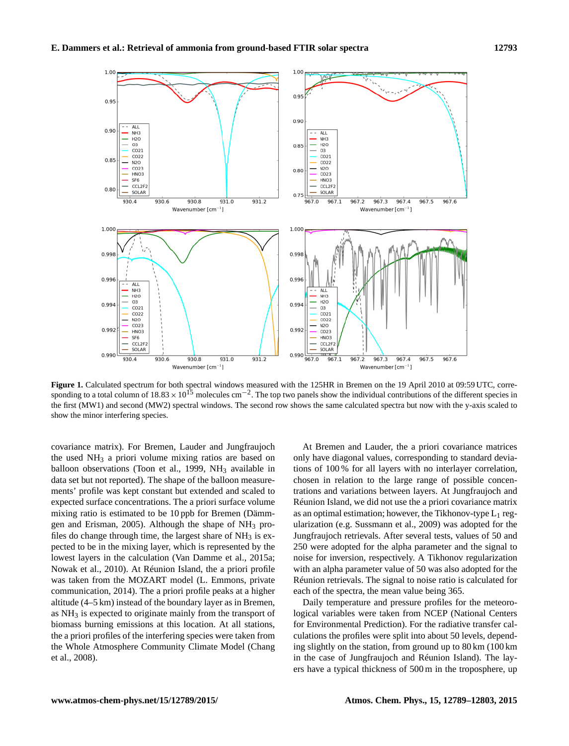

**Figure 1.** Calculated spectrum for both spectral windows measured with the 125HR in Bremen on the 19 April 2010 at 09:59 UTC, corresponding to a total column of  $18.83 \times 10^{15}$  molecules cm<sup>-2</sup>. The top two panels show the individual contributions of the different species in the first (MW1) and second (MW2) spectral windows. The second row shows the same calculated spectra but now with the y-axis scaled to show the minor interfering species.

covariance matrix). For Bremen, Lauder and Jungfraujoch the used NH<sup>3</sup> a priori volume mixing ratios are based on balloon observations (Toon et al., 1999,  $NH<sub>3</sub>$  available in data set but not reported). The shape of the balloon measurements' profile was kept constant but extended and scaled to expected surface concentrations. The a priori surface volume mixing ratio is estimated to be 10 ppb for Bremen (Dämmgen and Erisman, 2005). Although the shape of  $NH<sub>3</sub>$  profiles do change through time, the largest share of  $NH_3$  is expected to be in the mixing layer, which is represented by the lowest layers in the calculation (Van Damme et al., 2015a; Nowak et al., 2010). At Réunion Island, the a priori profile was taken from the MOZART model (L. Emmons, private communication, 2014). The a priori profile peaks at a higher altitude (4–5 km) instead of the boundary layer as in Bremen, as NH<sub>3</sub> is expected to originate mainly from the transport of biomass burning emissions at this location. At all stations, the a priori profiles of the interfering species were taken from the Whole Atmosphere Community Climate Model (Chang et al., 2008).

At Bremen and Lauder, the a priori covariance matrices only have diagonal values, corresponding to standard deviations of 100 % for all layers with no interlayer correlation, chosen in relation to the large range of possible concentrations and variations between layers. At Jungfraujoch and Réunion Island, we did not use the a priori covariance matrix as an optimal estimation; however, the Tikhonov-type  $L_1$  regularization (e.g. Sussmann et al., 2009) was adopted for the Jungfraujoch retrievals. After several tests, values of 50 and 250 were adopted for the alpha parameter and the signal to noise for inversion, respectively. A Tikhonov regularization with an alpha parameter value of 50 was also adopted for the Réunion retrievals. The signal to noise ratio is calculated for each of the spectra, the mean value being 365.

Daily temperature and pressure profiles for the meteorological variables were taken from NCEP (National Centers for Environmental Prediction). For the radiative transfer calculations the profiles were split into about 50 levels, depending slightly on the station, from ground up to 80 km (100 km in the case of Jungfraujoch and Réunion Island). The layers have a typical thickness of 500 m in the troposphere, up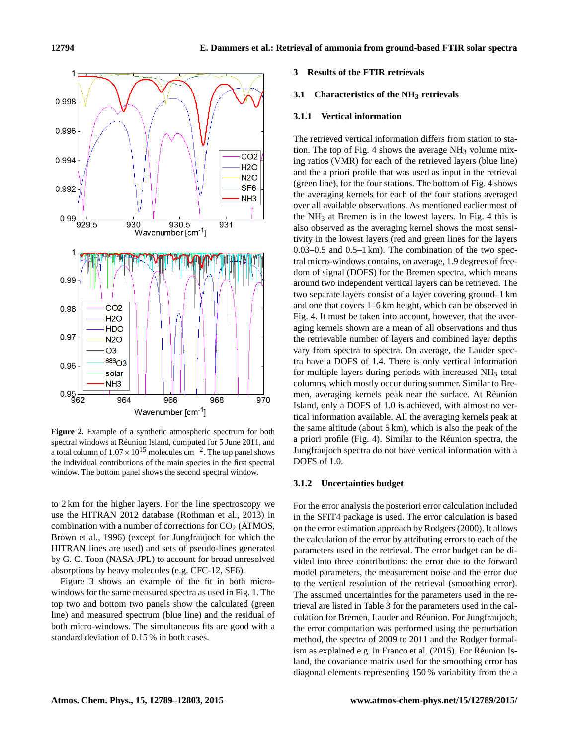

**Figure 2.** Example of a synthetic atmospheric spectrum for both spectral windows at Réunion Island, computed for 5 June 2011, and a total column of  $1.07 \times 10^{15}$  molecules cm<sup>-2</sup>. The top panel shows the individual contributions of the main species in the first spectral window. The bottom panel shows the second spectral window.

to 2 km for the higher layers. For the line spectroscopy we use the HITRAN 2012 database (Rothman et al., 2013) in combination with a number of corrections for  $CO<sub>2</sub>$  (ATMOS, Brown et al., 1996) (except for Jungfraujoch for which the HITRAN lines are used) and sets of pseudo-lines generated by G. C. Toon (NASA-JPL) to account for broad unresolved absorptions by heavy molecules (e.g. CFC-12, SF6).

Figure 3 shows an example of the fit in both microwindows for the same measured spectra as used in Fig. 1. The top two and bottom two panels show the calculated (green line) and measured spectrum (blue line) and the residual of both micro-windows. The simultaneous fits are good with a standard deviation of 0.15 % in both cases.

#### **3 Results of the FTIR retrievals**

#### **3.1 Characteristics of the NH<sup>3</sup> retrievals**

#### **3.1.1 Vertical information**

The retrieved vertical information differs from station to station. The top of Fig. 4 shows the average  $NH<sub>3</sub>$  volume mixing ratios (VMR) for each of the retrieved layers (blue line) and the a priori profile that was used as input in the retrieval (green line), for the four stations. The bottom of Fig. 4 shows the averaging kernels for each of the four stations averaged over all available observations. As mentioned earlier most of the  $NH<sub>3</sub>$  at Bremen is in the lowest layers. In Fig. 4 this is also observed as the averaging kernel shows the most sensitivity in the lowest layers (red and green lines for the layers 0.03–0.5 and 0.5–1 km). The combination of the two spectral micro-windows contains, on average, 1.9 degrees of freedom of signal (DOFS) for the Bremen spectra, which means around two independent vertical layers can be retrieved. The two separate layers consist of a layer covering ground–1 km and one that covers 1–6 km height, which can be observed in Fig. 4. It must be taken into account, however, that the averaging kernels shown are a mean of all observations and thus the retrievable number of layers and combined layer depths vary from spectra to spectra. On average, the Lauder spectra have a DOFS of 1.4. There is only vertical information for multiple layers during periods with increased  $NH<sub>3</sub>$  total columns, which mostly occur during summer. Similar to Bremen, averaging kernels peak near the surface. At Réunion Island, only a DOFS of 1.0 is achieved, with almost no vertical information available. All the averaging kernels peak at the same altitude (about 5 km), which is also the peak of the a priori profile (Fig. 4). Similar to the Réunion spectra, the Jungfraujoch spectra do not have vertical information with a DOFS of 1.0.

#### **3.1.2 Uncertainties budget**

For the error analysis the posteriori error calculation included in the SFIT4 package is used. The error calculation is based on the error estimation approach by Rodgers (2000). It allows the calculation of the error by attributing errors to each of the parameters used in the retrieval. The error budget can be divided into three contributions: the error due to the forward model parameters, the measurement noise and the error due to the vertical resolution of the retrieval (smoothing error). The assumed uncertainties for the parameters used in the retrieval are listed in Table 3 for the parameters used in the calculation for Bremen, Lauder and Réunion. For Jungfraujoch, the error computation was performed using the perturbation method, the spectra of 2009 to 2011 and the Rodger formalism as explained e.g. in Franco et al. (2015). For Réunion Island, the covariance matrix used for the smoothing error has diagonal elements representing 150 % variability from the a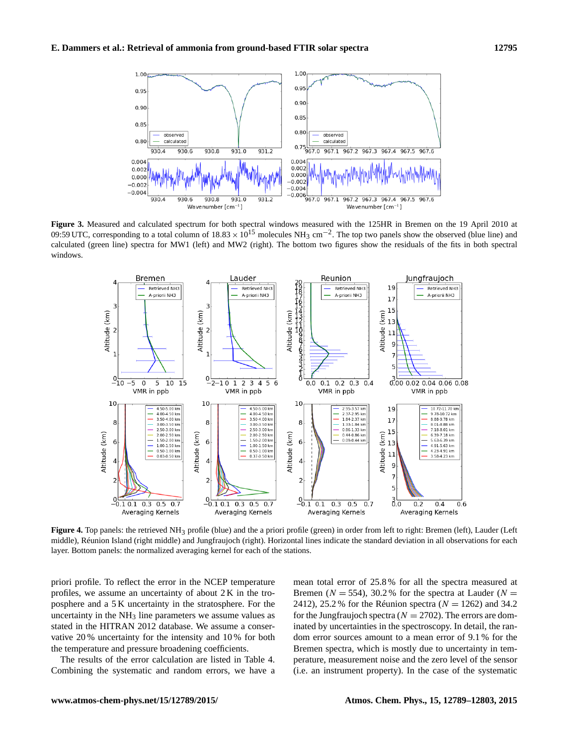

**Figure 3.** Measured and calculated spectrum for both spectral windows measured with the 125HR in Bremen on the 19 April 2010 at 09:59 UTC, corresponding to a total column of  $18.83 \times 10^{15}$  molecules NH<sub>3</sub> cm<sup>-2</sup>. The top two panels show the observed (blue line) and calculated (green line) spectra for MW1 (left) and MW2 (right). The bottom two figures show the residuals of the fits in both spectral windows.



**Figure 4.** Top panels: the retrieved NH3 profile (blue) and the a priori profile (green) in order from left to right: Bremen (left), Lauder (Left middle), Réunion Island (right middle) and Jungfraujoch (right). Horizontal lines indicate the standard deviation in all observations for each layer. Bottom panels: the normalized averaging kernel for each of the stations.

priori profile. To reflect the error in the NCEP temperature profiles, we assume an uncertainty of about 2 K in the troposphere and a 5 K uncertainty in the stratosphere. For the uncertainty in the  $NH_3$  line parameters we assume values as stated in the HITRAN 2012 database. We assume a conservative 20 % uncertainty for the intensity and 10 % for both the temperature and pressure broadening coefficients.

The results of the error calculation are listed in Table 4. Combining the systematic and random errors, we have a mean total error of 25.8 % for all the spectra measured at Bremen ( $N = 554$ ), 30.2% for the spectra at Lauder ( $N =$ 2412), 25.2 % for the Réunion spectra ( $N = 1262$ ) and 34.2 for the Jungfraujoch spectra ( $N = 2702$ ). The errors are dominated by uncertainties in the spectroscopy. In detail, the random error sources amount to a mean error of 9.1 % for the Bremen spectra, which is mostly due to uncertainty in temperature, measurement noise and the zero level of the sensor (i.e. an instrument property). In the case of the systematic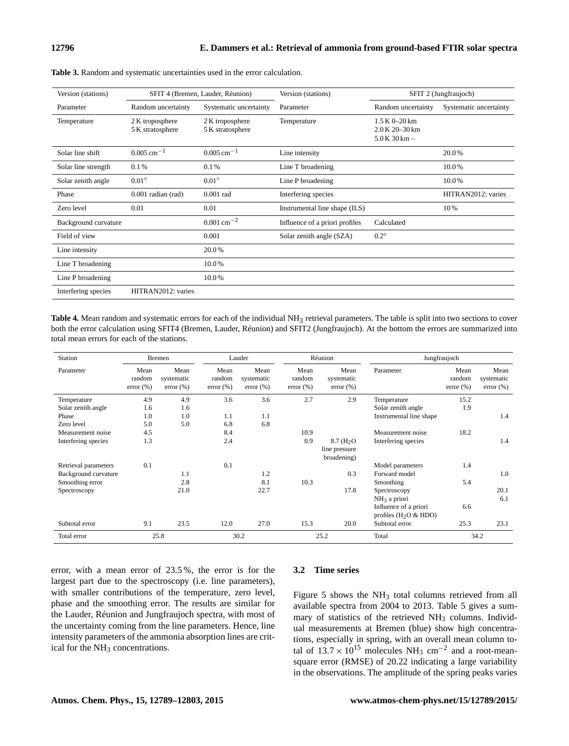| Version (stations)   |                                     | SFIT 4 (Bremen, Lauder, Réunion)    | Version (stations)             | SFIT 2 (Jungfraujoch)                                  |                        |  |
|----------------------|-------------------------------------|-------------------------------------|--------------------------------|--------------------------------------------------------|------------------------|--|
| Parameter            | Random uncertainty                  | Systematic uncertainty              | Parameter                      | Random uncertainty                                     | Systematic uncertainty |  |
| Temperature          | 2 K troposphere<br>5 K stratosphere | 2 K troposphere<br>5 K stratosphere | Temperature                    | $1.5 K 0 - 20 km$<br>2.0 K 20-30 km<br>$5.0 K 30 km -$ |                        |  |
| Solar line shift     | $0.005 \text{ cm}^{-1}$             | $0.005$ cm <sup>-1</sup>            | Line intensity                 |                                                        | 20.0%                  |  |
| Solar line strength  | 0.1%                                | 0.1%                                | Line T broadening              |                                                        | 10.0%                  |  |
| Solar zenith angle   | $0.01^\circ$                        | $0.01^\circ$                        | Line P broadening              |                                                        | 10.0%                  |  |
| Phase                | $0.001$ radian (rad)                | $0.001$ rad                         | Interfering species            |                                                        | HITRAN2012: varies     |  |
| Zero level           | 0.01                                | 0.01                                | Instrumental line shape (ILS)  |                                                        | 10%                    |  |
| Background curvature |                                     | $0.001 \text{ cm}^{-2}$             | Influence of a priori profiles | Calculated                                             |                        |  |
| Field of view        |                                     | 0.001                               | Solar zenith angle (SZA)       | $0.2^\circ$                                            |                        |  |
| Line intensity       |                                     | 20.0%                               |                                |                                                        |                        |  |
| Line T broadening    |                                     | 10.0%                               |                                |                                                        |                        |  |
| Line P broadening    |                                     | 10.0%                               |                                |                                                        |                        |  |
| Interfering species  | HITRAN2012: varies                  |                                     |                                |                                                        |                        |  |

**Table 3.** Random and systematic uncertainties used in the error calculation.

Table 4. Mean random and systematic errors for each of the individual NH<sub>3</sub> retrieval parameters. The table is split into two sections to cover both the error calculation using SFIT4 (Bremen, Lauder, Réunion) and SFIT2 (Jungfraujoch). At the bottom the errors are summarized into total mean errors for each of the stations.

| Station              |                                 | <b>Bremen</b>                       |                            | Lauder                         |                            | Réunion                             | Jungfraujoch                                     |                            |                                    |
|----------------------|---------------------------------|-------------------------------------|----------------------------|--------------------------------|----------------------------|-------------------------------------|--------------------------------------------------|----------------------------|------------------------------------|
| Parameter            | Mean<br>random<br>$error (\% )$ | Mean<br>systematic<br>$error (\% )$ | Mean<br>random<br>error(%) | Mean<br>systematic<br>error(%) | Mean<br>random<br>error(%) | Mean<br>systematic<br>$error (\% )$ | Parameter                                        | Mean<br>random<br>error(%) | Mean<br>systematic<br>$error (\%)$ |
| Temperature          | 4.9                             | 4.9                                 | 3.6                        | 3.6                            | 2.7                        | 2.9                                 | Temperature                                      | 15.2                       |                                    |
| Solar zenith angle   | 1.6                             | 1.6                                 |                            |                                |                            |                                     | Solar zenith angle                               | 1.9                        |                                    |
| Phase                | 1.0                             | 1.0                                 | 1.1                        | 1.1                            |                            |                                     | Instrumental line shape                          |                            | 1.4                                |
| Zero level           | 5.0                             | 5.0                                 | 6.8                        | 6.8                            |                            |                                     |                                                  |                            |                                    |
| Measurement noise    | 4.5                             |                                     | 8.4                        |                                | 10.9                       |                                     | Measurement noise                                | 18.2                       |                                    |
| Interfering species  | 1.3                             |                                     | 2.4                        |                                | 0.9                        | $8.7 \, (\text{H}_2\text{O})$       | Interfering species                              |                            | 1.4                                |
|                      |                                 |                                     |                            |                                |                            | line pressure<br>broadening)        |                                                  |                            |                                    |
| Retrieval parameters | 0.1                             |                                     | 0.1                        |                                |                            |                                     | Model parameters                                 | 1.4                        |                                    |
| Background curvature |                                 | 1.1                                 |                            | 1.2                            |                            | 0.3                                 | Forward model                                    |                            | 1.0                                |
| Smoothing error      |                                 | 2.8                                 |                            | 8.1                            | 10.3                       |                                     | Smoothing                                        | 5.4                        |                                    |
| Spectroscopy         |                                 | 21.0                                |                            | 22.7                           |                            | 17.8                                | Spectroscopy                                     |                            | 20.1                               |
|                      |                                 |                                     |                            |                                |                            |                                     | $NH3$ a priori                                   |                            | 6.1                                |
|                      |                                 |                                     |                            |                                |                            |                                     | Influence of a priori<br>profiles $(H_2O & HDO)$ | 6.6                        |                                    |
| Subtotal error       | 9.1                             | 23.5                                | 12.0                       | 27.0                           | 15.3                       | 20.0                                | Subtotal error                                   | 25.3                       | 23.1                               |
| Total error          |                                 | 25.8                                |                            | 30.2                           |                            | 25.2                                | Total                                            |                            | 34.2                               |

error, with a mean error of 23.5 %, the error is for the largest part due to the spectroscopy (i.e. line parameters), with smaller contributions of the temperature, zero level, phase and the smoothing error. The results are similar for the Lauder, Réunion and Jungfraujoch spectra, with most of the uncertainty coming from the line parameters. Hence, line intensity parameters of the ammonia absorption lines are critical for the NH<sub>3</sub> concentrations.

#### **3.2 Time series**

Figure 5 shows the  $NH<sub>3</sub>$  total columns retrieved from all available spectra from 2004 to 2013. Table 5 gives a summary of statistics of the retrieved  $NH<sub>3</sub>$  columns. Individual measurements at Bremen (blue) show high concentrations, especially in spring, with an overall mean column total of  $13.7 \times 10^{15}$  molecules NH<sub>3</sub> cm<sup>-2</sup> and a root-meansquare error (RMSE) of 20.22 indicating a large variability in the observations. The amplitude of the spring peaks varies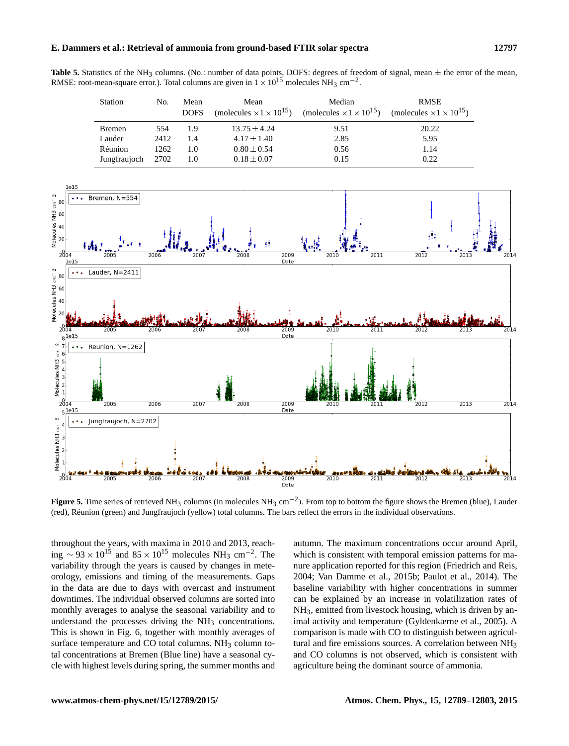### **E. Dammers et al.: Retrieval of ammonia from ground-based FTIR solar spectra 12797**

**Table 5.** Statistics of the NH<sub>3</sub> columns. (No.: number of data points, DOFS: degrees of freedom of signal, mean  $\pm$  the error of the mean, RMSE: root-mean-square error.). Total columns are given in  $1 \times 10^{15}$  molecules NH<sub>3</sub> cm<sup>-2</sup>.

| <b>Station</b> | No.  | Mean<br><b>DOFS</b> | Mean             | Median<br>(molecules $\times 1 \times 10^{15}$ ) (molecules $\times 1 \times 10^{15}$ ) | <b>RMSE</b><br>(molecules $\times 1 \times 10^{15}$ ) |
|----------------|------|---------------------|------------------|-----------------------------------------------------------------------------------------|-------------------------------------------------------|
| <b>Bremen</b>  | 554  | 1.9                 | $13.75 \pm 4.24$ | 9.51                                                                                    | 20.22                                                 |
| Lauder         | 2412 | 1.4                 | $4.17 \pm 1.40$  | 2.85                                                                                    | 5.95                                                  |
| Réunion        | 1262 | 1.0                 | $0.80 \pm 0.54$  | 0.56                                                                                    | 1.14                                                  |
| Jungfraujoch   | 2702 | 1.0                 | $0.18 \pm 0.07$  | 0.15                                                                                    | 0.22                                                  |



**Figure 5.** Time series of retrieved NH<sup>3</sup> columns (in molecules NH<sup>3</sup> cm−<sup>2</sup> ). From top to bottom the figure shows the Bremen (blue), Lauder (red), Réunion (green) and Jungfraujoch (yellow) total columns. The bars reflect the errors in the individual observations.

throughout the years, with maxima in 2010 and 2013, reaching  $\sim$  93 × 10<sup>15</sup> and 85 × 10<sup>15</sup> molecules NH<sub>3</sub> cm<sup>-2</sup>. The variability through the years is caused by changes in meteorology, emissions and timing of the measurements. Gaps in the data are due to days with overcast and instrument downtimes. The individual observed columns are sorted into monthly averages to analyse the seasonal variability and to understand the processes driving the  $NH<sub>3</sub>$  concentrations. This is shown in Fig. 6, together with monthly averages of surface temperature and CO total columns.  $NH<sub>3</sub>$  column total concentrations at Bremen (Blue line) have a seasonal cycle with highest levels during spring, the summer months and autumn. The maximum concentrations occur around April, which is consistent with temporal emission patterns for manure application reported for this region (Friedrich and Reis, 2004; Van Damme et al., 2015b; Paulot et al., 2014). The baseline variability with higher concentrations in summer can be explained by an increase in volatilization rates of  $NH<sub>3</sub>$ , emitted from livestock housing, which is driven by animal activity and temperature (Gyldenkærne et al., 2005). A comparison is made with CO to distinguish between agricultural and fire emissions sources. A correlation between NH<sub>3</sub> and CO columns is not observed, which is consistent with agriculture being the dominant source of ammonia.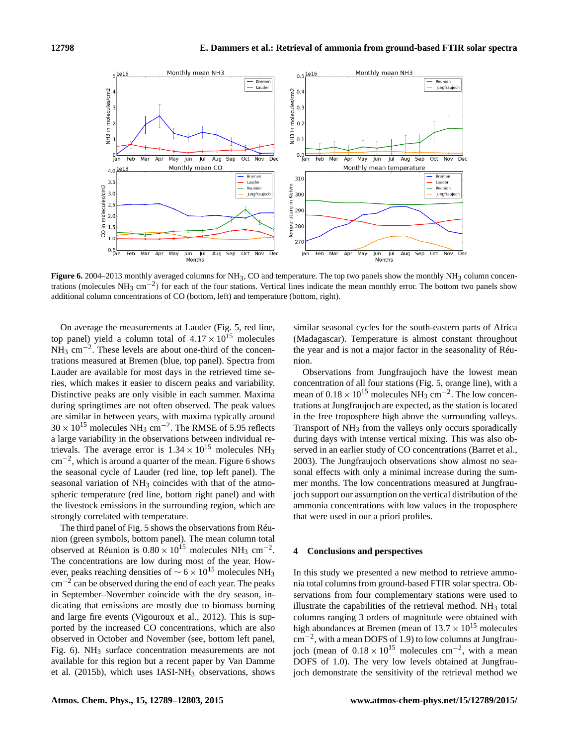

**Figure 6.** 2004–2013 monthly averaged columns for  $NH_3$ , CO and temperature. The top two panels show the monthly  $NH_3$  column concentrations (molecules NH<sub>3</sub> cm<sup>-2</sup>) for each of the four stations. Vertical lines indicate the mean monthly error. The bottom two panels show additional column concentrations of CO (bottom, left) and temperature (bottom, right).

On average the measurements at Lauder (Fig. 5, red line, top panel) yield a column total of  $4.17 \times 10^{15}$  molecules  $NH_3$  cm<sup>-2</sup>. These levels are about one-third of the concentrations measured at Bremen (blue, top panel). Spectra from Lauder are available for most days in the retrieved time series, which makes it easier to discern peaks and variability. Distinctive peaks are only visible in each summer. Maxima during springtimes are not often observed. The peak values are similar in between years, with maxima typically around  $30 \times 10^{15}$  molecules NH<sub>3</sub> cm<sup>-2</sup>. The RMSE of 5.95 reflects a large variability in the observations between individual retrievals. The average error is  $1.34 \times 10^{15}$  molecules NH<sub>3</sub> cm−<sup>2</sup> , which is around a quarter of the mean. Figure 6 shows the seasonal cycle of Lauder (red line, top left panel). The seasonal variation of NH<sub>3</sub> coincides with that of the atmospheric temperature (red line, bottom right panel) and with the livestock emissions in the surrounding region, which are strongly correlated with temperature.

The third panel of Fig. 5 shows the observations from Réunion (green symbols, bottom panel). The mean column total observed at Réunion is  $0.80 \times 10^{15}$  molecules NH<sub>3</sub> cm<sup>-2</sup>. The concentrations are low during most of the year. However, peaks reaching densities of  $\sim$  6 × 10<sup>15</sup> molecules NH<sub>3</sub>  $\text{cm}^{-2}$  can be observed during the end of each year. The peaks in September–November coincide with the dry season, indicating that emissions are mostly due to biomass burning and large fire events (Vigouroux et al., 2012). This is supported by the increased CO concentrations, which are also observed in October and November (see, bottom left panel, Fig. 6).  $NH_3$  surface concentration measurements are not available for this region but a recent paper by Van Damme et al. (2015b), which uses IASI-NH<sub>3</sub> observations, shows similar seasonal cycles for the south-eastern parts of Africa (Madagascar). Temperature is almost constant throughout the year and is not a major factor in the seasonality of Réunion.

Observations from Jungfraujoch have the lowest mean concentration of all four stations (Fig. 5, orange line), with a mean of  $0.18 \times 10^{15}$  molecules NH<sub>3</sub> cm<sup>-2</sup>. The low concentrations at Jungfraujoch are expected, as the station is located in the free troposphere high above the surrounding valleys. Transport of  $NH<sub>3</sub>$  from the valleys only occurs sporadically during days with intense vertical mixing. This was also observed in an earlier study of CO concentrations (Barret et al., 2003). The Jungfraujoch observations show almost no seasonal effects with only a minimal increase during the summer months. The low concentrations measured at Jungfraujoch support our assumption on the vertical distribution of the ammonia concentrations with low values in the troposphere that were used in our a priori profiles.

#### **4 Conclusions and perspectives**

In this study we presented a new method to retrieve ammonia total columns from ground-based FTIR solar spectra. Observations from four complementary stations were used to illustrate the capabilities of the retrieval method.  $NH<sub>3</sub>$  total columns ranging 3 orders of magnitude were obtained with high abundances at Bremen (mean of  $13.7 \times 10^{15}$  molecules cm−<sup>2</sup> , with a mean DOFS of 1.9) to low columns at Jungfraujoch (mean of  $0.18 \times 10^{15}$  molecules cm<sup>-2</sup>, with a mean DOFS of 1.0). The very low levels obtained at Jungfraujoch demonstrate the sensitivity of the retrieval method we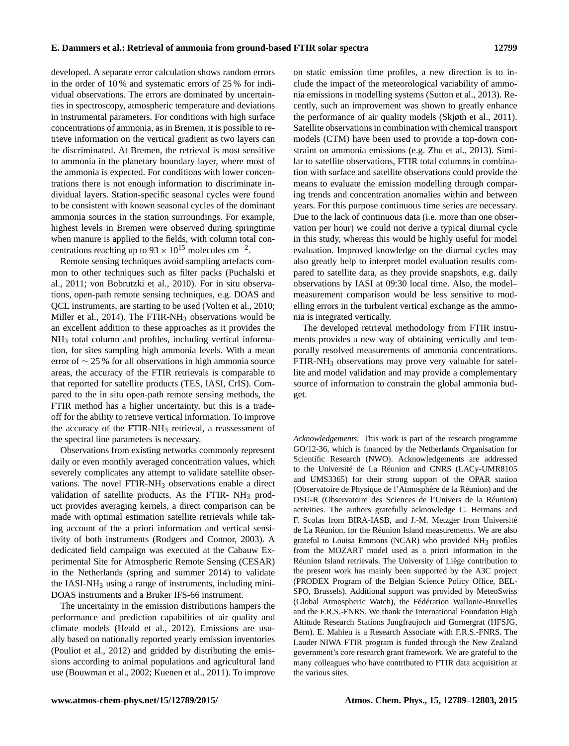developed. A separate error calculation shows random errors in the order of 10 % and systematic errors of 25 % for individual observations. The errors are dominated by uncertainties in spectroscopy, atmospheric temperature and deviations in instrumental parameters. For conditions with high surface concentrations of ammonia, as in Bremen, it is possible to retrieve information on the vertical gradient as two layers can be discriminated. At Bremen, the retrieval is most sensitive to ammonia in the planetary boundary layer, where most of the ammonia is expected. For conditions with lower concentrations there is not enough information to discriminate individual layers. Station-specific seasonal cycles were found to be consistent with known seasonal cycles of the dominant ammonia sources in the station surroundings. For example, highest levels in Bremen were observed during springtime when manure is applied to the fields, with column total concentrations reaching up to  $93 \times 10^{15}$  molecules cm<sup>-2</sup>.

Remote sensing techniques avoid sampling artefacts common to other techniques such as filter packs (Puchalski et al., 2011; von Bobrutzki et al., 2010). For in situ observations, open-path remote sensing techniques, e.g. DOAS and QCL instruments, are starting to be used (Volten et al., 2010; Miller et al., 2014). The FTIR-NH<sub>3</sub> observations would be an excellent addition to these approaches as it provides the NH<sup>3</sup> total column and profiles, including vertical information, for sites sampling high ammonia levels. With a mean error of ∼ 25 % for all observations in high ammonia source areas, the accuracy of the FTIR retrievals is comparable to that reported for satellite products (TES, IASI, CrIS). Compared to the in situ open-path remote sensing methods, the FTIR method has a higher uncertainty, but this is a tradeoff for the ability to retrieve vertical information. To improve the accuracy of the FTIR-NH<sub>3</sub> retrieval, a reassessment of the spectral line parameters is necessary.

Observations from existing networks commonly represent daily or even monthly averaged concentration values, which severely complicates any attempt to validate satellite observations. The novel FTIR-NH<sub>3</sub> observations enable a direct validation of satellite products. As the FTIR-  $NH<sub>3</sub>$  product provides averaging kernels, a direct comparison can be made with optimal estimation satellite retrievals while taking account of the a priori information and vertical sensitivity of both instruments (Rodgers and Connor, 2003). A dedicated field campaign was executed at the Cabauw Experimental Site for Atmospheric Remote Sensing (CESAR) in the Netherlands (spring and summer 2014) to validate the IASI-NH<sup>3</sup> using a range of instruments, including mini-DOAS instruments and a Bruker IFS-66 instrument.

The uncertainty in the emission distributions hampers the performance and prediction capabilities of air quality and climate models (Heald et al., 2012). Emissions are usually based on nationally reported yearly emission inventories (Pouliot et al., 2012) and gridded by distributing the emissions according to animal populations and agricultural land use (Bouwman et al., 2002; Kuenen et al., 2011). To improve on static emission time profiles, a new direction is to include the impact of the meteorological variability of ammonia emissions in modelling systems (Sutton et al., 2013). Recently, such an improvement was shown to greatly enhance the performance of air quality models (Skjøth et al., 2011). Satellite observations in combination with chemical transport models (CTM) have been used to provide a top-down constraint on ammonia emissions (e.g. Zhu et al., 2013). Similar to satellite observations, FTIR total columns in combination with surface and satellite observations could provide the means to evaluate the emission modelling through comparing trends and concentration anomalies within and between years. For this purpose continuous time series are necessary. Due to the lack of continuous data (i.e. more than one observation per hour) we could not derive a typical diurnal cycle in this study, whereas this would be highly useful for model evaluation. Improved knowledge on the diurnal cycles may also greatly help to interpret model evaluation results compared to satellite data, as they provide snapshots, e.g. daily observations by IASI at 09:30 local time. Also, the model– measurement comparison would be less sensitive to modelling errors in the turbulent vertical exchange as the ammonia is integrated vertically.

The developed retrieval methodology from FTIR instruments provides a new way of obtaining vertically and temporally resolved measurements of ammonia concentrations. FTIR-NH<sup>3</sup> observations may prove very valuable for satellite and model validation and may provide a complementary source of information to constrain the global ammonia budget.

*Acknowledgements.* This work is part of the research programme GO/12-36, which is financed by the Netherlands Organisation for Scientific Research (NWO). Acknowledgements are addressed to the Université de La Réunion and CNRS (LACy-UMR8105 and UMS3365) for their strong support of the OPAR station (Observatoire de Physique de l'Atmosphère de la Réunion) and the OSU-R (Observatoire des Sciences de l'Univers de la Réunion) activities. The authors gratefully acknowledge C. Hermans and F. Scolas from BIRA-IASB, and J.-M. Metzger from Université de La Réunion, for the Réunion Island measurements. We are also grateful to Louisa Emmons (NCAR) who provided  $NH<sub>3</sub>$  profiles from the MOZART model used as a priori information in the Réunion Island retrievals. The University of Liège contribution to the present work has mainly been supported by the A3C project (PRODEX Program of the Belgian Science Policy Office, BEL-SPO, Brussels). Additional support was provided by MeteoSwiss (Global Atmospheric Watch), the Fédération Wallonie-Bruxelles and the F.R.S.-FNRS. We thank the International Foundation High Altitude Research Stations Jungfraujoch and Gornergrat (HFSJG, Bern). E. Mahieu is a Research Associate with F.R.S.-FNRS. The Lauder NIWA FTIR program is funded through the New Zealand government's core research grant framework. We are grateful to the many colleagues who have contributed to FTIR data acquisition at the various sites.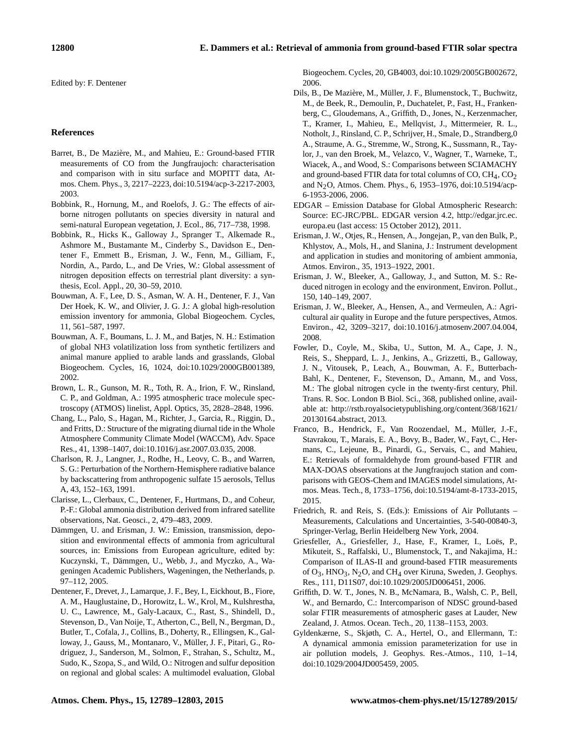Edited by: F. Dentener

## **References**

- Barret, B., De Mazière, M., and Mahieu, E.: Ground-based FTIR measurements of CO from the Jungfraujoch: characterisation and comparison with in situ surface and MOPITT data, Atmos. Chem. Phys., 3, 2217–2223, doi[:10.5194/acp-3-2217-2003,](http://dx.doi.org/10.5194/acp-3-2217-2003) 2003.
- Bobbink, R., Hornung, M., and Roelofs, J. G.: The effects of airborne nitrogen pollutants on species diversity in natural and semi-natural European vegetation, J. Ecol., 86, 717–738, 1998.
- Bobbink, R., Hicks K., Galloway J., Spranger T., Alkemade R., Ashmore M., Bustamante M., Cinderby S., Davidson E., Dentener F., Emmett B., Erisman, J. W., Fenn, M., Gilliam, F., Nordin, A., Pardo, L., and De Vries, W.: Global assessment of nitrogen deposition effects on terrestrial plant diversity: a synthesis, Ecol. Appl., 20, 30–59, 2010.
- Bouwman, A. F., Lee, D. S., Asman, W. A. H., Dentener, F. J., Van Der Hoek, K. W., and Olivier, J. G. J.: A global high-resolution emission inventory for ammonia, Global Biogeochem. Cycles, 11, 561–587, 1997.
- Bouwman, A. F., Boumans, L. J. M., and Batjes, N. H.: Estimation of global NH3 volatilization loss from synthetic fertilizers and animal manure applied to arable lands and grasslands, Global Biogeochem. Cycles, 16, 1024, doi[:10.1029/2000GB001389,](http://dx.doi.org/10.1029/2000GB001389) 2002.
- Brown, L. R., Gunson, M. R., Toth, R. A., Irion, F. W., Rinsland, C. P., and Goldman, A.: 1995 atmospheric trace molecule spectroscopy (ATMOS) linelist, Appl. Optics, 35, 2828–2848, 1996.
- Chang, L., Palo, S., Hagan, M., Richter, J., Garcia, R., Riggin, D., and Fritts, D.: Structure of the migrating diurnal tide in the Whole Atmosphere Community Climate Model (WACCM), Adv. Space Res., 41, 1398–1407, doi[:10.1016/j.asr.2007.03.035,](http://dx.doi.org/10.1016/j.asr.2007.03.035) 2008.
- Charlson, R. J., Langner, J., Rodhe, H., Leovy, C. B., and Warren, S. G.: Perturbation of the Northern-Hemisphere radiative balance by backscattering from anthropogenic sulfate 15 aerosols, Tellus A, 43, 152–163, 1991.
- Clarisse, L., Clerbaux, C., Dentener, F., Hurtmans, D., and Coheur, P.-F.: Global ammonia distribution derived from infrared satellite observations, Nat. Geosci., 2, 479–483, 2009.
- Dämmgen, U. and Erisman, J. W.: Emission, transmission, deposition and environmental effects of ammonia from agricultural sources, in: Emissions from European agriculture, edited by: Kuczynski, T., Dämmgen, U., Webb, J., and Myczko, A., Wageningen Academic Publishers, Wageningen, the Netherlands, p. 97–112, 2005.
- Dentener, F., Drevet, J., Lamarque, J. F., Bey, I., Eickhout, B., Fiore, A. M., Hauglustaine, D., Horowitz, L. W., Krol, M., Kulshrestha, U. C., Lawrence, M., Galy-Lacaux, C., Rast, S., Shindell, D., Stevenson, D., Van Noije, T., Atherton, C., Bell, N., Bergman, D., Butler, T., Cofala, J., Collins, B., Doherty, R., Ellingsen, K., Galloway, J., Gauss, M., Montanaro, V., Müller, J. F., Pitari, G., Rodriguez, J., Sanderson, M., Solmon, F., Strahan, S., Schultz, M., Sudo, K., Szopa, S., and Wild, O.: Nitrogen and sulfur deposition on regional and global scales: A multimodel evaluation, Global

Biogeochem. Cycles, 20, GB4003, doi[:10.1029/2005GB002672,](http://dx.doi.org/10.1029/2005GB002672) 2006.

- Dils, B., De Mazière, M., Müller, J. F., Blumenstock, T., Buchwitz, M., de Beek, R., Demoulin, P., Duchatelet, P., Fast, H., Frankenberg, C., Gloudemans, A., Griffith, D., Jones, N., Kerzenmacher, T., Kramer, I., Mahieu, E., Mellqvist, J., Mittermeier, R. L., Notholt, J., Rinsland, C. P., Schrijver, H., Smale, D., Strandberg,0 A., Straume, A. G., Stremme, W., Strong, K., Sussmann, R., Taylor, J., van den Broek, M., Velazco, V., Wagner, T., Warneke, T., Wiacek, A., and Wood, S.: Comparisons between SCIAMACHY and ground-based FTIR data for total columns of  $CO$ ,  $CH_4$ ,  $CO_2$ and N2O, Atmos. Chem. Phys., 6, 1953–1976, doi[:10.5194/acp-](http://dx.doi.org/10.5194/acp-6-1953-2006)[6-1953-2006,](http://dx.doi.org/10.5194/acp-6-1953-2006) 2006.
- EDGAR Emission Database for Global Atmospheric Research: Source: EC-JRC/PBL. EDGAR version 4.2, [http://edgar.jrc.ec.](http://edgar.jrc.ec.europa.eu) [europa.eu](http://edgar.jrc.ec.europa.eu) (last access: 15 October 2012), 2011.
- Erisman, J. W., Otjes, R., Hensen, A., Jongejan, P., van den Bulk, P., Khlystov, A., Mols, H., and Slanina, J.: Instrument development and application in studies and monitoring of ambient ammonia, Atmos. Environ., 35, 1913–1922, 2001.
- Erisman, J. W., Bleeker, A., Galloway, J., and Sutton, M. S.: Reduced nitrogen in ecology and the environment, Environ. Pollut., 150, 140–149, 2007.
- Erisman, J. W., Bleeker, A., Hensen, A., and Vermeulen, A.: Agricultural air quality in Europe and the future perspectives, Atmos. Environ., 42, 3209–3217, doi[:10.1016/j.atmosenv.2007.04.004,](http://dx.doi.org/10.1016/j.atmosenv.2007.04.004) 2008.
- Fowler, D., Coyle, M., Skiba, U., Sutton, M. A., Cape, J. N., Reis, S., Sheppard, L. J., Jenkins, A., Grizzetti, B., Galloway, J. N., Vitousek, P., Leach, A., Bouwman, A. F., Butterbach-Bahl, K., Dentener, F., Stevenson, D., Amann, M., and Voss, M.: The global nitrogen cycle in the twenty-first century, Phil. Trans. R. Soc. London B Biol. Sci., 368, published online, available at: [http://rstb.royalsocietypublishing.org/content/368/1621/](http://rstb.royalsocietypublishing.org/content/368/1621/20130164.abstract) [20130164.abstract,](http://rstb.royalsocietypublishing.org/content/368/1621/20130164.abstract) 2013.
- Franco, B., Hendrick, F., Van Roozendael, M., Müller, J.-F., Stavrakou, T., Marais, E. A., Bovy, B., Bader, W., Fayt, C., Hermans, C., Lejeune, B., Pinardi, G., Servais, C., and Mahieu, E.: Retrievals of formaldehyde from ground-based FTIR and MAX-DOAS observations at the Jungfraujoch station and comparisons with GEOS-Chem and IMAGES model simulations, Atmos. Meas. Tech., 8, 1733–1756, doi[:10.5194/amt-8-1733-2015,](http://dx.doi.org/10.5194/amt-8-1733-2015) 2015.
- Friedrich, R. and Reis, S. (Eds.): Emissions of Air Pollutants Measurements, Calculations and Uncertainties, 3-540-00840-3, Springer-Verlag, Berlin Heidelberg New York, 2004.
- Griesfeller, A., Griesfeller, J., Hase, F., Kramer, I., Loës, P., Mikuteit, S., Raffalski, U., Blumenstock, T., and Nakajima, H.: Comparison of ILAS-II and ground-based FTIR measurements of  $O_3$ , HNO<sub>3</sub>, N<sub>2</sub>O, and CH<sub>4</sub> over Kiruna, Sweden, J. Geophys. Res., 111, D11S07, doi[:10.1029/2005JD006451,](http://dx.doi.org/10.1029/2005JD006451) 2006.
- Griffith, D. W. T., Jones, N. B., McNamara, B., Walsh, C. P., Bell, W., and Bernardo, C.: Intercomparison of NDSC ground-based solar FTIR measurements of atmospheric gases at Lauder, New Zealand, J. Atmos. Ocean. Tech., 20, 1138–1153, 2003.
- Gyldenkærne, S., Skjøth, C. A., Hertel, O., and Ellermann, T.: A dynamical ammonia emission parameterization for use in air pollution models, J. Geophys. Res.-Atmos., 110, 1–14, doi[:10.1029/2004JD005459,](http://dx.doi.org/10.1029/2004JD005459) 2005.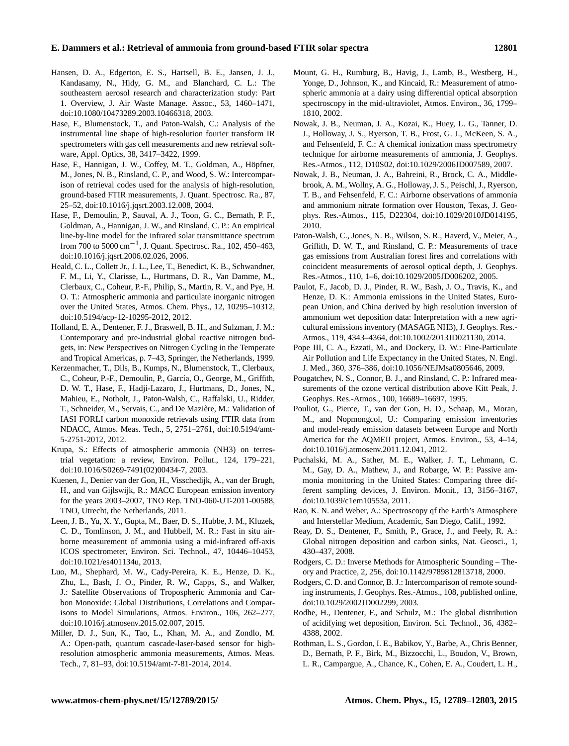- Hansen, D. A., Edgerton, E. S., Hartsell, B. E., Jansen, J. J., Kandasamy, N., Hidy, G. M., and Blanchard, C. L.: The southeastern aerosol research and characterization study: Part 1. Overview, J. Air Waste Manage. Assoc., 53, 1460–1471, doi[:10.1080/10473289.2003.10466318,](http://dx.doi.org/10.1080/10473289.2003.10466318) 2003.
- Hase, F., Blumenstock, T., and Paton-Walsh, C.: Analysis of the instrumental line shape of high-resolution fourier transform IR spectrometers with gas cell measurements and new retrieval software, Appl. Optics, 38, 3417–3422, 1999.
- Hase, F., Hannigan, J. W., Coffey, M. T., Goldman, A., Höpfner, M., Jones, N. B., Rinsland, C. P., and Wood, S. W.: Intercomparison of retrieval codes used for the analysis of high-resolution, ground-based FTIR measurements, J. Quant. Spectrosc. Ra., 87, 25–52, doi[:10.1016/j.jqsrt.2003.12.008,](http://dx.doi.org/10.1016/j.jqsrt.2003.12.008) 2004.
- Hase, F., Demoulin, P., Sauval, A. J., Toon, G. C., Bernath, P. F., Goldman, A., Hannigan, J. W., and Rinsland, C. P.: An empirical line-by-line model for the infrared solar transmittance spectrum from 700 to 5000 cm<sup>-1</sup>, J. Quant. Spectrosc. Ra., 102, 450–463, doi[:10.1016/j.jqsrt.2006.02.026,](http://dx.doi.org/10.1016/j.jqsrt.2006.02.026) 2006.
- Heald, C. L., Collett Jr., J. L., Lee, T., Benedict, K. B., Schwandner, F. M., Li, Y., Clarisse, L., Hurtmans, D. R., Van Damme, M., Clerbaux, C., Coheur, P.-F., Philip, S., Martin, R. V., and Pye, H. O. T.: Atmospheric ammonia and particulate inorganic nitrogen over the United States, Atmos. Chem. Phys., 12, 10295–10312, doi[:10.5194/acp-12-10295-2012,](http://dx.doi.org/10.5194/acp-12-10295-2012) 2012.
- Holland, E. A., Dentener, F. J., Braswell, B. H., and Sulzman, J. M.: Contemporary and pre-industrial global reactive nitrogen budgets, in: New Perspectives on Nitrogen Cycling in the Temperate and Tropical Americas, p. 7–43, Springer, the Netherlands, 1999.
- Kerzenmacher, T., Dils, B., Kumps, N., Blumenstock, T., Clerbaux, C., Coheur, P.-F., Demoulin, P., García, O., George, M., Griffith, D. W. T., Hase, F., Hadji-Lazaro, J., Hurtmans, D., Jones, N., Mahieu, E., Notholt, J., Paton-Walsh, C., Raffalski, U., Ridder, T., Schneider, M., Servais, C., and De Mazière, M.: Validation of IASI FORLI carbon monoxide retrievals using FTIR data from NDACC, Atmos. Meas. Tech., 5, 2751–2761, doi[:10.5194/amt-](http://dx.doi.org/10.5194/amt-5-2751-2012)[5-2751-2012,](http://dx.doi.org/10.5194/amt-5-2751-2012) 2012.
- Krupa, S.: Effects of atmospheric ammonia (NH3) on terrestrial vegetation: a review, Environ. Pollut., 124, 179–221, doi[:10.1016/S0269-7491\(02\)00434-7,](http://dx.doi.org/10.1016/S0269-7491(02)00434-7) 2003.
- Kuenen, J., Denier van der Gon, H., Visschedijk, A., van der Brugh, H., and van Gijlswijk, R.: MACC European emission inventory for the years 2003–2007, TNO Rep. TNO-060-UT-2011-00588, TNO, Utrecht, the Netherlands, 2011.
- Leen, J. B., Yu, X. Y., Gupta, M., Baer, D. S., Hubbe, J. M., Kluzek, C. D., Tomlinson, J. M., and Hubbell, M. R.: Fast in situ airborne measurement of ammonia using a mid-infrared off-axis ICOS spectrometer, Environ. Sci. Technol., 47, 10446–10453, doi[:10.1021/es401134u,](http://dx.doi.org/10.1021/es401134u) 2013.
- Luo, M., Shephard, M. W., Cady-Pereira, K. E., Henze, D. K., Zhu, L., Bash, J. O., Pinder, R. W., Capps, S., and Walker, J.: Satellite Observations of Tropospheric Ammonia and Carbon Monoxide: Global Distributions, Correlations and Comparisons to Model Simulations, Atmos. Environ., 106, 262–277, doi[:10.1016/j.atmosenv.2015.02.007,](http://dx.doi.org/10.1016/j.atmosenv.2015.02.007) 2015.
- Miller, D. J., Sun, K., Tao, L., Khan, M. A., and Zondlo, M. A.: Open-path, quantum cascade-laser-based sensor for highresolution atmospheric ammonia measurements, Atmos. Meas. Tech., 7, 81–93, doi[:10.5194/amt-7-81-2014,](http://dx.doi.org/10.5194/amt-7-81-2014) 2014.
- Mount, G. H., Rumburg, B., Havig, J., Lamb, B., Westberg, H., Yonge, D., Johnson, K., and Kincaid, R.: Measurement of atmospheric ammonia at a dairy using differential optical absorption spectroscopy in the mid-ultraviolet, Atmos. Environ., 36, 1799– 1810, 2002.
- Nowak, J. B., Neuman, J. A., Kozai, K., Huey, L. G., Tanner, D. J., Holloway, J. S., Ryerson, T. B., Frost, G. J., McKeen, S. A., and Fehsenfeld, F. C.: A chemical ionization mass spectrometry technique for airborne measurements of ammonia, J. Geophys. Res.-Atmos., 112, D10S02, doi[:10.1029/2006JD007589,](http://dx.doi.org/10.1029/2006JD007589) 2007.
- Nowak, J. B., Neuman, J. A., Bahreini, R., Brock, C. A., Middlebrook, A. M., Wollny, A. G., Holloway, J. S., Peischl, J., Ryerson, T. B., and Fehsenfeld, F. C.: Airborne observations of ammonia and ammonium nitrate formation over Houston, Texas, J. Geophys. Res.-Atmos., 115, D22304, doi[:10.1029/2010JD014195,](http://dx.doi.org/10.1029/2010JD014195) 2010.
- Paton-Walsh, C., Jones, N. B., Wilson, S. R., Haverd, V., Meier, A., Griffith, D. W. T., and Rinsland, C. P.: Measurements of trace gas emissions from Australian forest fires and correlations with coincident measurements of aerosol optical depth, J. Geophys. Res.-Atmos., 110, 1–6, doi[:10.1029/2005JD006202,](http://dx.doi.org/10.1029/2005JD006202) 2005.
- Paulot, F., Jacob, D. J., Pinder, R. W., Bash, J. O., Travis, K., and Henze, D. K.: Ammonia emissions in the United States, European Union, and China derived by high resolution inversion of ammonium wet deposition data: Interpretation with a new agricultural emissions inventory (MASAGE NH3), J. Geophys. Res.- Atmos., 119, 4343–4364, doi[:10.1002/2013JD021130,](http://dx.doi.org/10.1002/2013JD021130) 2014.
- Pope III, C. A., Ezzati, M., and Dockery, D. W.: Fine-Particulate Air Pollution and Life Expectancy in the United States, N. Engl. J. Med., 360, 376–386, doi[:10.1056/NEJMsa0805646,](http://dx.doi.org/10.1056/NEJMsa0805646) 2009.
- Pougatchev, N. S., Connor, B. J., and Rinsland, C. P.: Infrared measurements of the ozone vertical distribution above Kitt Peak, J. Geophys. Res.-Atmos., 100, 16689–16697, 1995.
- Pouliot, G., Pierce, T., van der Gon, H. D., Schaap, M., Moran, M., and Nopmongcol, U.: Comparing emission inventories and model-ready emission datasets between Europe and North America for the AQMEII project, Atmos. Environ., 53, 4–14, doi[:10.1016/j.atmosenv.2011.12.041,](http://dx.doi.org/10.1016/j.atmosenv.2011.12.041) 2012.
- Puchalski, M. A., Sather, M. E., Walker, J. T., Lehmann, C. M., Gay, D. A., Mathew, J., and Robarge, W. P.: Passive ammonia monitoring in the United States: Comparing three different sampling devices, J. Environ. Monit., 13, 3156–3167, doi[:10.1039/c1em10553a,](http://dx.doi.org/10.1039/c1em10553a) 2011.
- Rao, K. N. and Weber, A.: Spectroscopy qf the Earth's Atmosphere and Interstellar Medium, Academic, San Diego, Calif., 1992.
- Reay, D. S., Dentener, F., Smith, P., Grace, J., and Feely, R. A.: Global nitrogen deposition and carbon sinks, Nat. Geosci., 1, 430–437, 2008.
- Rodgers, C. D.: Inverse Methods for Atmospheric Sounding Theory and Practice, 2, 256, doi[:10.1142/9789812813718,](http://dx.doi.org/10.1142/9789812813718) 2000.
- Rodgers, C. D. and Connor, B. J.: Intercomparison of remote sounding instruments, J. Geophys. Res.-Atmos., 108, published online, doi[:10.1029/2002JD002299,](http://dx.doi.org/10.1029/2002JD002299) 2003.
- Rodhe, H., Dentener, F., and Schulz, M.: The global distribution of acidifying wet deposition, Environ. Sci. Technol., 36, 4382– 4388, 2002.
- Rothman, L. S., Gordon, I. E., Babikov, Y., Barbe, A., Chris Benner, D., Bernath, P. F., Birk, M., Bizzocchi, L., Boudon, V., Brown, L. R., Campargue, A., Chance, K., Cohen, E. A., Coudert, L. H.,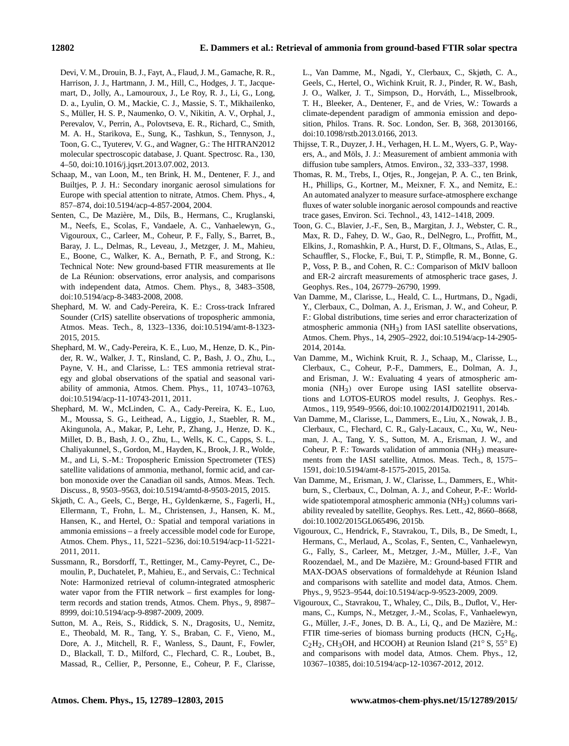Devi, V. M., Drouin, B. J., Fayt, A., Flaud, J. M., Gamache, R. R., Harrison, J. J., Hartmann, J. M., Hill, C., Hodges, J. T., Jacquemart, D., Jolly, A., Lamouroux, J., Le Roy, R. J., Li, G., Long, D. a., Lyulin, O. M., Mackie, C. J., Massie, S. T., Mikhailenko, S., Müller, H. S. P., Naumenko, O. V., Nikitin, A. V., Orphal, J., Perevalov, V., Perrin, A., Polovtseva, E. R., Richard, C., Smith, M. A. H., Starikova, E., Sung, K., Tashkun, S., Tennyson, J., Toon, G. C., Tyuterev, V. G., and Wagner, G.: The HITRAN2012 molecular spectroscopic database, J. Quant. Spectrosc. Ra., 130, 4–50, doi[:10.1016/j.jqsrt.2013.07.002,](http://dx.doi.org/10.1016/j.jqsrt.2013.07.002) 2013.

- Schaap, M., van Loon, M., ten Brink, H. M., Dentener, F. J., and Builtjes, P. J. H.: Secondary inorganic aerosol simulations for Europe with special attention to nitrate, Atmos. Chem. Phys., 4, 857–874, doi[:10.5194/acp-4-857-2004,](http://dx.doi.org/10.5194/acp-4-857-2004) 2004.
- Senten, C., De Mazière, M., Dils, B., Hermans, C., Kruglanski, M., Neefs, E., Scolas, F., Vandaele, A. C., Vanhaelewyn, G., Vigouroux, C., Carleer, M., Coheur, P. F., Fally, S., Barret, B., Baray, J. L., Delmas, R., Leveau, J., Metzger, J. M., Mahieu, E., Boone, C., Walker, K. A., Bernath, P. F., and Strong, K.: Technical Note: New ground-based FTIR measurements at Ile de La Réunion: observations, error analysis, and comparisons with independent data, Atmos. Chem. Phys., 8, 3483–3508, doi[:10.5194/acp-8-3483-2008,](http://dx.doi.org/10.5194/acp-8-3483-2008) 2008.
- Shephard, M. W. and Cady-Pereira, K. E.: Cross-track Infrared Sounder (CrIS) satellite observations of tropospheric ammonia, Atmos. Meas. Tech., 8, 1323–1336, doi[:10.5194/amt-8-1323-](http://dx.doi.org/10.5194/amt-8-1323-2015) [2015,](http://dx.doi.org/10.5194/amt-8-1323-2015) 2015.
- Shephard, M. W., Cady-Pereira, K. E., Luo, M., Henze, D. K., Pinder, R. W., Walker, J. T., Rinsland, C. P., Bash, J. O., Zhu, L., Payne, V. H., and Clarisse, L.: TES ammonia retrieval strategy and global observations of the spatial and seasonal variability of ammonia, Atmos. Chem. Phys., 11, 10743–10763, doi[:10.5194/acp-11-10743-2011,](http://dx.doi.org/10.5194/acp-11-10743-2011) 2011.
- Shephard, M. W., McLinden, C. A., Cady-Pereira, K. E., Luo, M., Moussa, S. G., Leithead, A., Liggio, J., Staebler, R. M., Akingunola, A., Makar, P., Lehr, P., Zhang, J., Henze, D. K., Millet, D. B., Bash, J. O., Zhu, L., Wells, K. C., Capps, S. L., Chaliyakunnel, S., Gordon, M., Hayden, K., Brook, J. R., Wolde, M., and Li, S.-M.: Tropospheric Emission Spectrometer (TES) satellite validations of ammonia, methanol, formic acid, and carbon monoxide over the Canadian oil sands, Atmos. Meas. Tech. Discuss., 8, 9503–9563, doi[:10.5194/amtd-8-9503-2015,](http://dx.doi.org/10.5194/amtd-8-9503-2015) 2015.
- Skjøth, C. A., Geels, C., Berge, H., Gyldenkærne, S., Fagerli, H., Ellermann, T., Frohn, L. M., Christensen, J., Hansen, K. M., Hansen, K., and Hertel, O.: Spatial and temporal variations in ammonia emissions – a freely accessible model code for Europe, Atmos. Chem. Phys., 11, 5221–5236, doi[:10.5194/acp-11-5221-](http://dx.doi.org/10.5194/acp-11-5221-2011) [2011,](http://dx.doi.org/10.5194/acp-11-5221-2011) 2011.
- Sussmann, R., Borsdorff, T., Rettinger, M., Camy-Peyret, C., Demoulin, P., Duchatelet, P., Mahieu, E., and Servais, C.: Technical Note: Harmonized retrieval of column-integrated atmospheric water vapor from the FTIR network – first examples for longterm records and station trends, Atmos. Chem. Phys., 9, 8987– 8999, doi[:10.5194/acp-9-8987-2009,](http://dx.doi.org/10.5194/acp-9-8987-2009) 2009.
- Sutton, M. A., Reis, S., Riddick, S. N., Dragosits, U., Nemitz, E., Theobald, M. R., Tang, Y. S., Braban, C. F., Vieno, M., Dore, A. J., Mitchell, R. F., Wanless, S., Daunt, F., Fowler, D., Blackall, T. D., Milford, C., Flechard, C. R., Loubet, B., Massad, R., Cellier, P., Personne, E., Coheur, P. F., Clarisse,

L., Van Damme, M., Ngadi, Y., Clerbaux, C., Skjøth, C. A., Geels, C., Hertel, O., Wichink Kruit, R. J., Pinder, R. W., Bash, J. O., Walker, J. T., Simpson, D., Horváth, L., Misselbrook, T. H., Bleeker, A., Dentener, F., and de Vries, W.: Towards a climate-dependent paradigm of ammonia emission and deposition, Philos. Trans. R. Soc. London, Ser. B, 368, 20130166, doi[:10.1098/rstb.2013.0166,](http://dx.doi.org/10.1098/rstb.2013.0166) 2013.

- Thijsse, T. R., Duyzer, J. H., Verhagen, H. L. M., Wyers, G. P., Wayers, A., and Möls, J. J.: Measurement of ambient ammonia with diffusion tube samplers, Atmos. Environ., 32, 333–337, 1998.
- Thomas, R. M., Trebs, I., Otjes, R., Jongejan, P. A. C., ten Brink, H., Phillips, G., Kortner, M., Meixner, F. X., and Nemitz, E.: An automated analyzer to measure surface-atmosphere exchange fluxes of water soluble inorganic aerosol compounds and reactive trace gases, Environ. Sci. Technol., 43, 1412–1418, 2009.
- Toon, G. C., Blavier, J.-F., Sen, B., Margitan, J. J., Webster, C. R., Max, R. D., Fahey, D. W., Gao, R., DelNegro, L., Proffitt, M., Elkins, J., Romashkin, P. A., Hurst, D. F., Oltmans, S., Atlas, E., Schauffler, S., Flocke, F., Bui, T. P., Stimpfle, R. M., Bonne, G. P., Voss, P. B., and Cohen, R. C.: Comparison of MkIV balloon and ER-2 aircraft measurements of atmospheric trace gases, J. Geophys. Res., 104, 26779–26790, 1999.
- Van Damme, M., Clarisse, L., Heald, C. L., Hurtmans, D., Ngadi, Y., Clerbaux, C., Dolman, A. J., Erisman, J. W., and Coheur, P. F.: Global distributions, time series and error characterization of atmospheric ammonia (NH3) from IASI satellite observations, Atmos. Chem. Phys., 14, 2905–2922, doi[:10.5194/acp-14-2905-](http://dx.doi.org/10.5194/acp-14-2905-2014) [2014,](http://dx.doi.org/10.5194/acp-14-2905-2014) 2014a.
- Van Damme, M., Wichink Kruit, R. J., Schaap, M., Clarisse, L., Clerbaux, C., Coheur, P.-F., Dammers, E., Dolman, A. J., and Erisman, J. W.: Evaluating 4 years of atmospheric ammonia (NH3) over Europe using IASI satellite observations and LOTOS-EUROS model results, J. Geophys. Res.- Atmos., 119, 9549–9566, doi[:10.1002/2014JD021911,](http://dx.doi.org/10.1002/2014JD021911) 2014b.
- Van Damme, M., Clarisse, L., Dammers, E., Liu, X., Nowak, J. B., Clerbaux, C., Flechard, C. R., Galy-Lacaux, C., Xu, W., Neuman, J. A., Tang, Y. S., Sutton, M. A., Erisman, J. W., and Coheur, P. F.: Towards validation of ammonia  $(NH<sub>3</sub>)$  measurements from the IASI satellite, Atmos. Meas. Tech., 8, 1575– 1591, doi[:10.5194/amt-8-1575-2015,](http://dx.doi.org/10.5194/amt-8-1575-2015) 2015a.
- Van Damme, M., Erisman, J. W., Clarisse, L., Dammers, E., Whitburn, S., Clerbaux, C., Dolman, A. J., and Coheur, P.-F.: Worldwide spatiotemporal atmospheric ammonia (NH<sub>3</sub>) columns variability revealed by satellite, Geophys. Res. Lett., 42, 8660–8668, doi[:10.1002/2015GL065496,](http://dx.doi.org/10.1002/2015GL065496) 2015b.
- Vigouroux, C., Hendrick, F., Stavrakou, T., Dils, B., De Smedt, I., Hermans, C., Merlaud, A., Scolas, F., Senten, C., Vanhaelewyn, G., Fally, S., Carleer, M., Metzger, J.-M., Müller, J.-F., Van Roozendael, M., and De Mazière, M.: Ground-based FTIR and MAX-DOAS observations of formaldehyde at Réunion Island and comparisons with satellite and model data, Atmos. Chem. Phys., 9, 9523–9544, doi[:10.5194/acp-9-9523-2009,](http://dx.doi.org/10.5194/acp-9-9523-2009) 2009.
- Vigouroux, C., Stavrakou, T., Whaley, C., Dils, B., Duflot, V., Hermans, C., Kumps, N., Metzger, J.-M., Scolas, F., Vanhaelewyn, G., Müller, J.-F., Jones, D. B. A., Li, Q., and De Mazière, M.: FTIR time-series of biomass burning products (HCN,  $C_2H_6$ ,  $C_2H_2$ , CH<sub>3</sub>OH, and HCOOH) at Reunion Island (21<sup>°</sup> S, 55<sup>°</sup> E) and comparisons with model data, Atmos. Chem. Phys., 12, 10367–10385, doi[:10.5194/acp-12-10367-2012,](http://dx.doi.org/10.5194/acp-12-10367-2012) 2012.